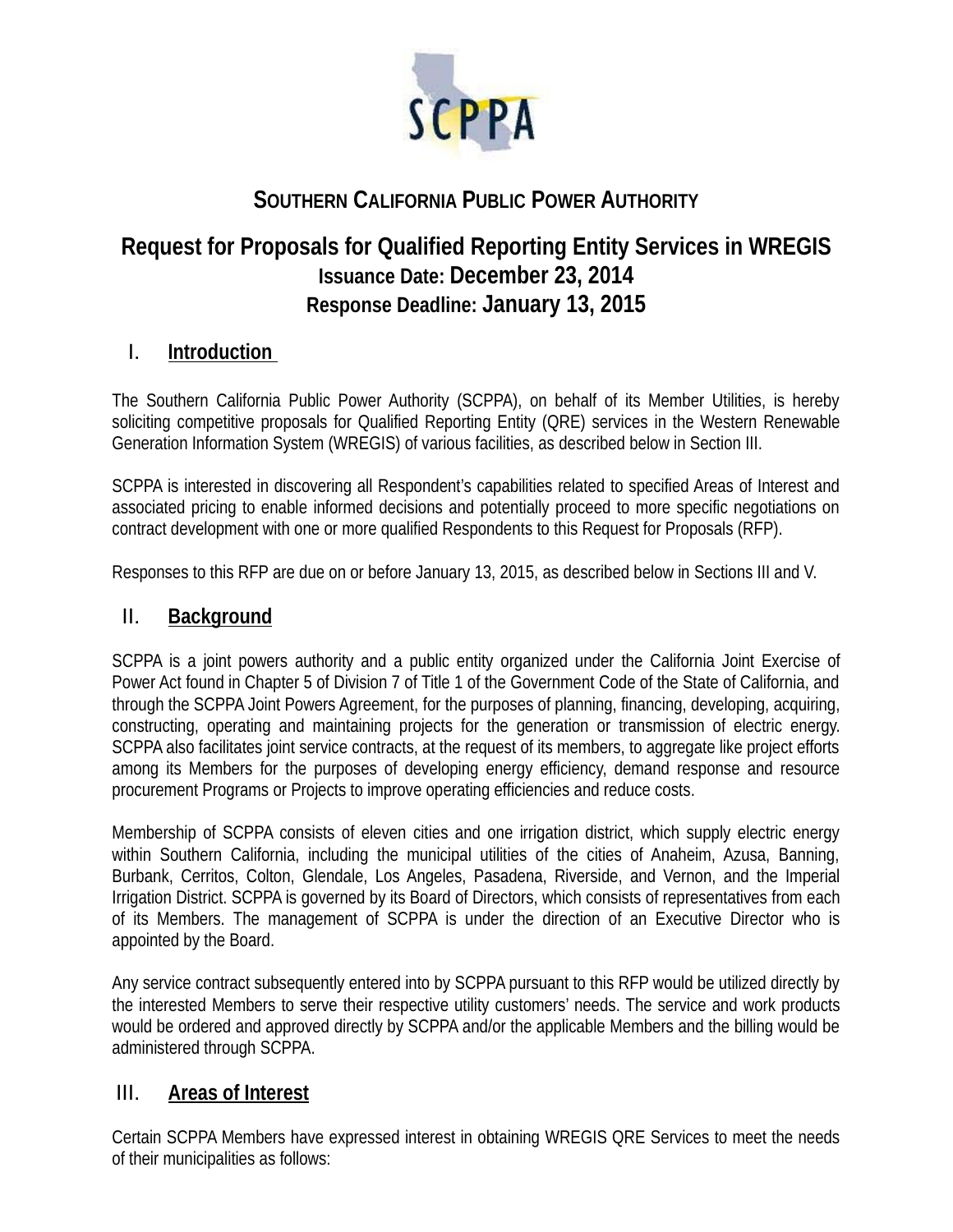

# **SOUTHERN CALIFORNIA PUBLIC POWER AUTHORITY**

# **Request for Proposals for Qualified Reporting Entity Services in WREGIS Issuance Date: December 23, 2014 Response Deadline: January 13, 2015**

## I. **Introduction**

The Southern California Public Power Authority (SCPPA), on behalf of its Member Utilities, is hereby soliciting competitive proposals for Qualified Reporting Entity (QRE) services in the Western Renewable Generation Information System (WREGIS) of various facilities, as described below in Section III.

SCPPA is interested in discovering all Respondent's capabilities related to specified Areas of Interest and associated pricing to enable informed decisions and potentially proceed to more specific negotiations on contract development with one or more qualified Respondents to this Request for Proposals (RFP).

Responses to this RFP are due on or before January 13, 2015, as described below in Sections III and V.

### II. **Background**

SCPPA is a joint powers authority and a public entity organized under the California Joint Exercise of Power Act found in Chapter 5 of Division 7 of Title 1 of the Government Code of the State of California, and through the SCPPA Joint Powers Agreement, for the purposes of planning, financing, developing, acquiring, constructing, operating and maintaining projects for the generation or transmission of electric energy. SCPPA also facilitates joint service contracts, at the request of its members, to aggregate like project efforts among its Members for the purposes of developing energy efficiency, demand response and resource procurement Programs or Projects to improve operating efficiencies and reduce costs.

Membership of SCPPA consists of eleven cities and one irrigation district, which supply electric energy within Southern California, including the municipal utilities of the cities of Anaheim, Azusa, Banning, Burbank, Cerritos, Colton, Glendale, Los Angeles, Pasadena, Riverside, and Vernon, and the Imperial Irrigation District. SCPPA is governed by its Board of Directors, which consists of representatives from each of its Members. The management of SCPPA is under the direction of an Executive Director who is appointed by the Board.

Any service contract subsequently entered into by SCPPA pursuant to this RFP would be utilized directly by the interested Members to serve their respective utility customers' needs. The service and work products would be ordered and approved directly by SCPPA and/or the applicable Members and the billing would be administered through SCPPA.

## III. **Areas of Interest**

Certain SCPPA Members have expressed interest in obtaining WREGIS QRE Services to meet the needs of their municipalities as follows: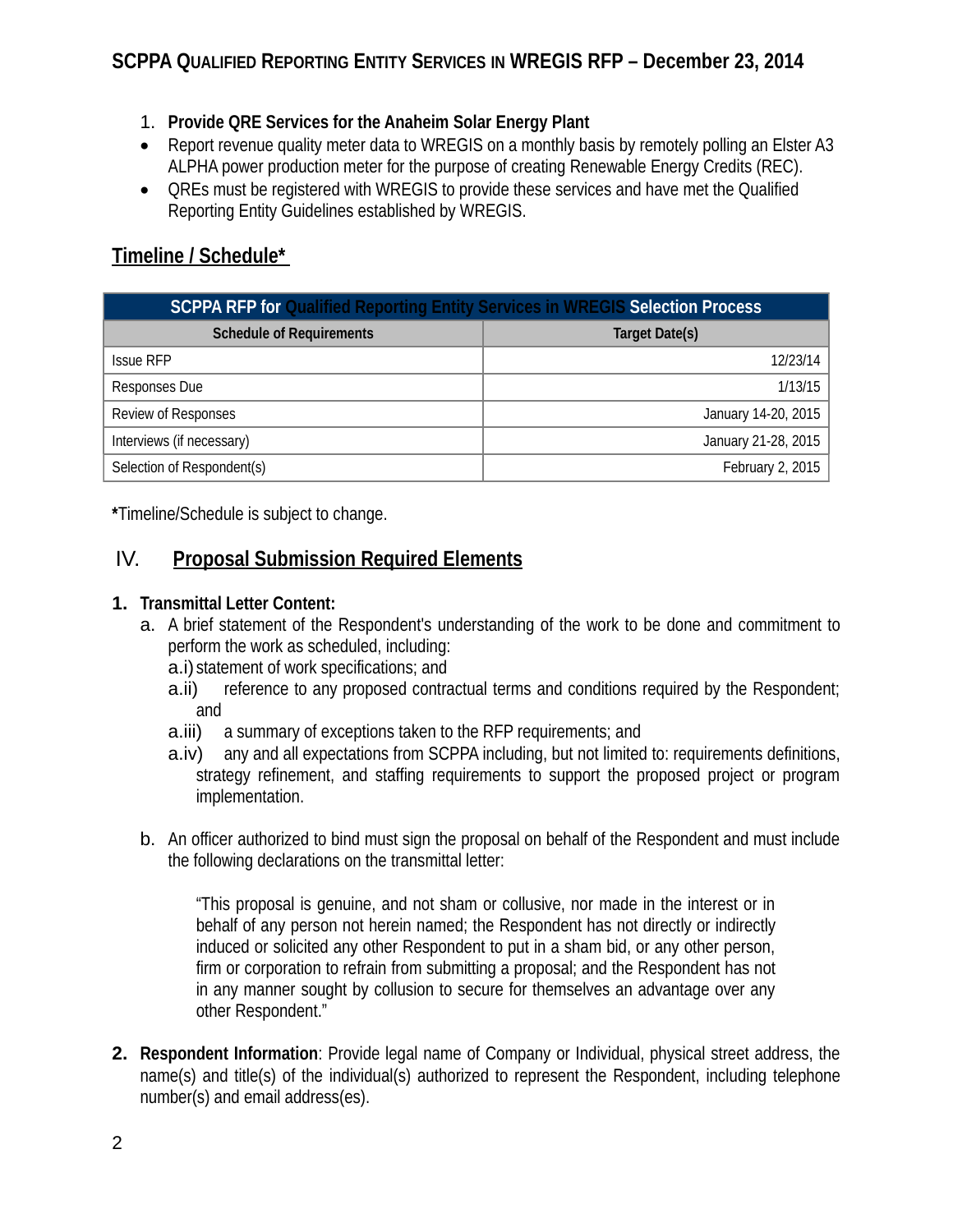- 1. **Provide QRE Services for the Anaheim Solar Energy Plant**
- Report revenue quality meter data to WREGIS on a monthly basis by remotely polling an Elster A3 ALPHA power production meter for the purpose of creating Renewable Energy Credits (REC).
- QREs must be registered with WREGIS to provide these services and have met the Qualified Reporting Entity Guidelines established by WREGIS.

# **Timeline / Schedule\***

| <b>SCPPA RFP for Qualified Reporting Entity Services in WREGIS Selection Process</b> |                     |
|--------------------------------------------------------------------------------------|---------------------|
| <b>Schedule of Requirements</b>                                                      | Target Date(s)      |
| <b>Issue RFP</b>                                                                     | 12/23/14            |
| Responses Due                                                                        | 1/13/15             |
| Review of Responses                                                                  | January 14-20, 2015 |
| Interviews (if necessary)                                                            | January 21-28, 2015 |
| Selection of Respondent(s)                                                           | February 2, 2015    |

**\***Timeline/Schedule is subject to change.

# IV. **Proposal Submission Required Elements**

#### **1. Transmittal Letter Content:**

- a. A brief statement of the Respondent's understanding of the work to be done and commitment to perform the work as scheduled, including:
	- a.i) statement of work specifications; and
	- a.ii) reference to any proposed contractual terms and conditions required by the Respondent; and
	- a.iii) a summary of exceptions taken to the RFP requirements; and
	- a.iv) any and all expectations from SCPPA including, but not limited to: requirements definitions, strategy refinement, and staffing requirements to support the proposed project or program implementation.
- b. An officer authorized to bind must sign the proposal on behalf of the Respondent and must include the following declarations on the transmittal letter:

"This proposal is genuine, and not sham or collusive, nor made in the interest or in behalf of any person not herein named; the Respondent has not directly or indirectly induced or solicited any other Respondent to put in a sham bid, or any other person, firm or corporation to refrain from submitting a proposal; and the Respondent has not in any manner sought by collusion to secure for themselves an advantage over any other Respondent."

**2. Respondent Information**: Provide legal name of Company or Individual, physical street address, the name(s) and title(s) of the individual(s) authorized to represent the Respondent, including telephone number(s) and email address(es).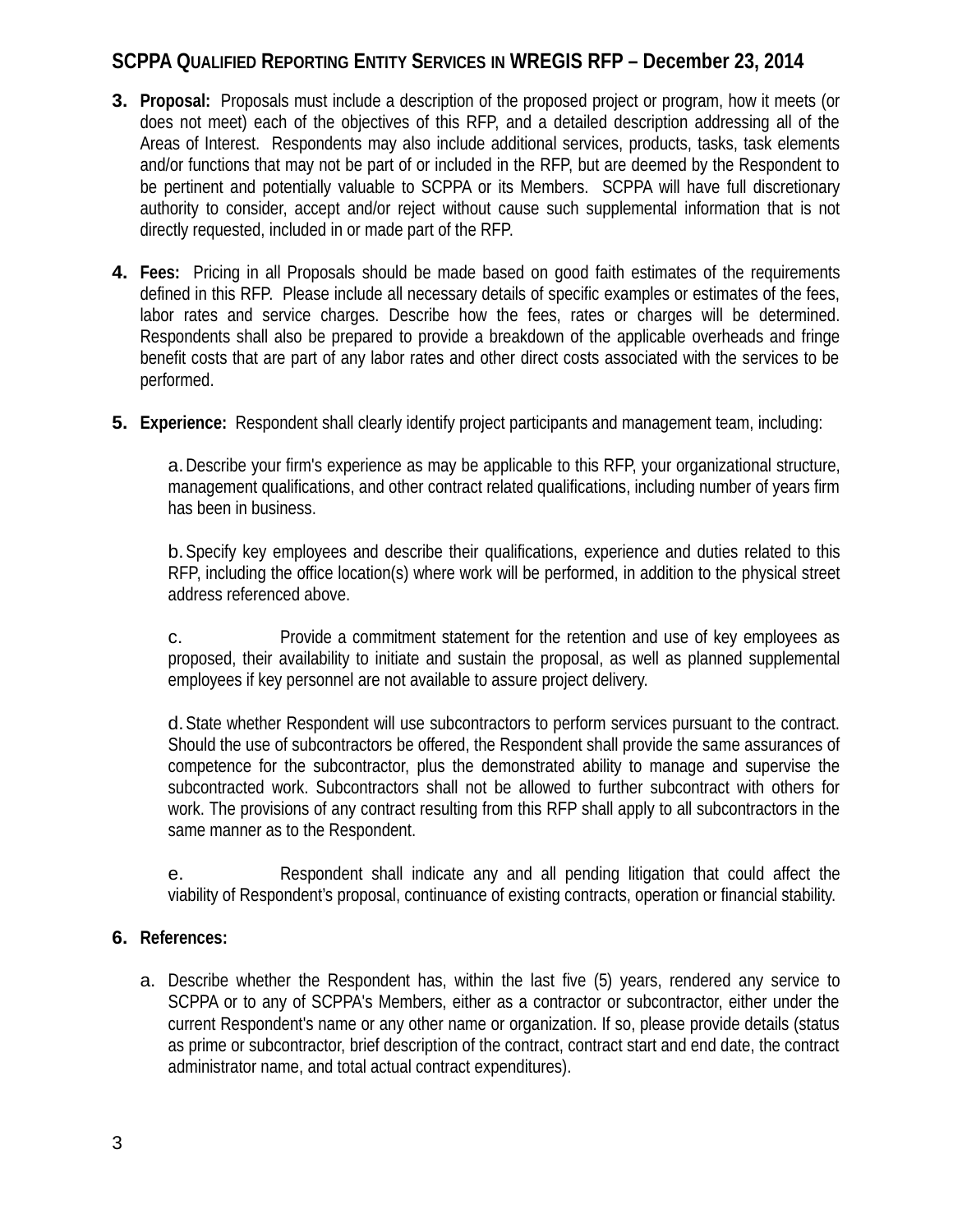- **3. Proposal:** Proposals must include a description of the proposed project or program, how it meets (or does not meet) each of the objectives of this RFP, and a detailed description addressing all of the Areas of Interest. Respondents may also include additional services, products, tasks, task elements and/or functions that may not be part of or included in the RFP, but are deemed by the Respondent to be pertinent and potentially valuable to SCPPA or its Members. SCPPA will have full discretionary authority to consider, accept and/or reject without cause such supplemental information that is not directly requested, included in or made part of the RFP.
- **4. Fees:** Pricing in all Proposals should be made based on good faith estimates of the requirements defined in this RFP. Please include all necessary details of specific examples or estimates of the fees, labor rates and service charges. Describe how the fees, rates or charges will be determined. Respondents shall also be prepared to provide a breakdown of the applicable overheads and fringe benefit costs that are part of any labor rates and other direct costs associated with the services to be performed.
- **5. Experience:** Respondent shall clearly identify project participants and management team, including:

a.Describe your firm's experience as may be applicable to this RFP, your organizational structure, management qualifications, and other contract related qualifications, including number of years firm has been in business.

b.Specify key employees and describe their qualifications, experience and duties related to this RFP, including the office location(s) where work will be performed, in addition to the physical street address referenced above.

c. Provide a commitment statement for the retention and use of key employees as proposed, their availability to initiate and sustain the proposal, as well as planned supplemental employees if key personnel are not available to assure project delivery.

d.State whether Respondent will use subcontractors to perform services pursuant to the contract. Should the use of subcontractors be offered, the Respondent shall provide the same assurances of competence for the subcontractor, plus the demonstrated ability to manage and supervise the subcontracted work. Subcontractors shall not be allowed to further subcontract with others for work. The provisions of any contract resulting from this RFP shall apply to all subcontractors in the same manner as to the Respondent.

e. Respondent shall indicate any and all pending litigation that could affect the viability of Respondent's proposal, continuance of existing contracts, operation or financial stability.

#### **6. References:**

a. Describe whether the Respondent has, within the last five (5) years, rendered any service to SCPPA or to any of SCPPA's Members, either as a contractor or subcontractor, either under the current Respondent's name or any other name or organization. If so, please provide details (status as prime or subcontractor, brief description of the contract, contract start and end date, the contract administrator name, and total actual contract expenditures).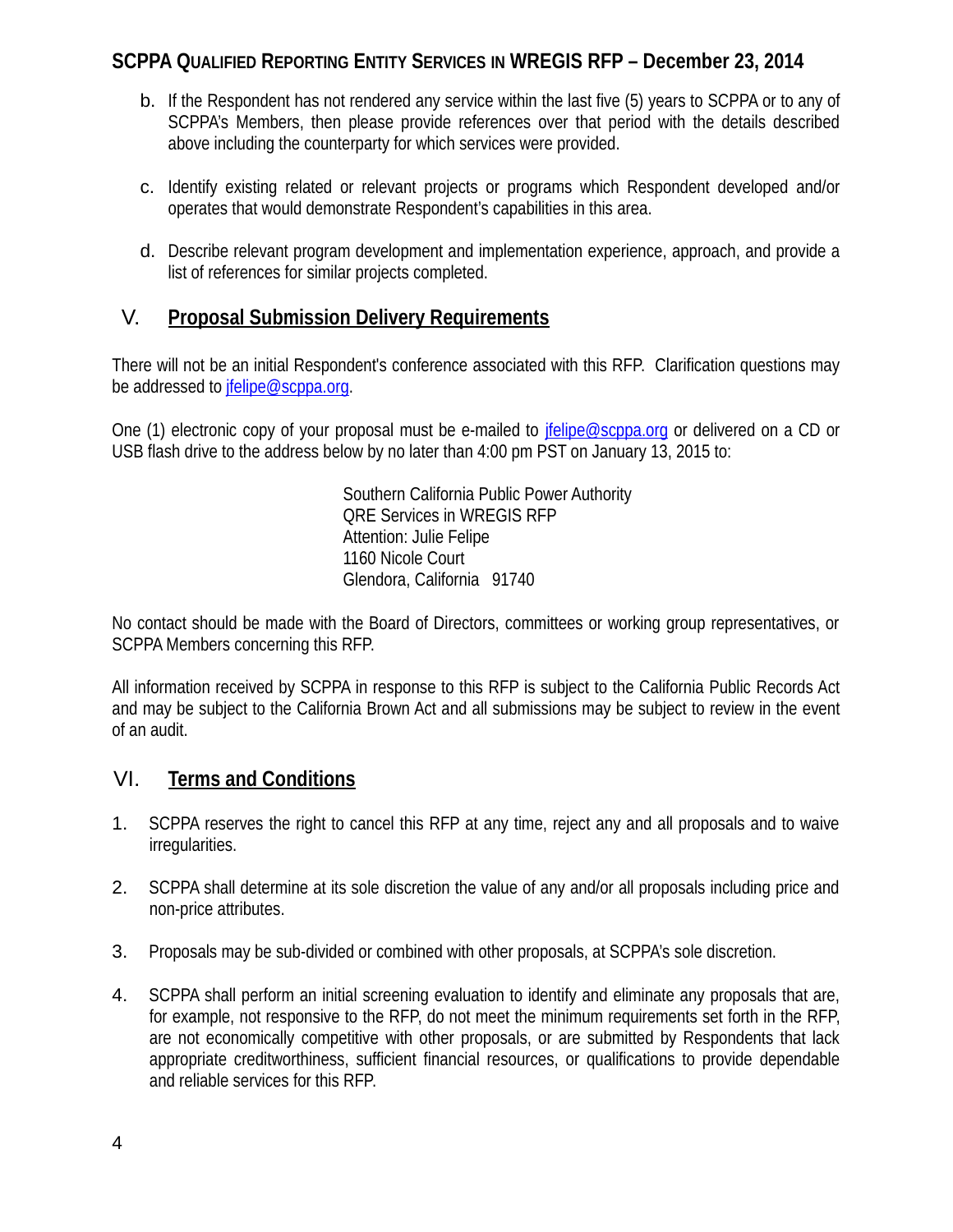- b. If the Respondent has not rendered any service within the last five (5) years to SCPPA or to any of SCPPA's Members, then please provide references over that period with the details described above including the counterparty for which services were provided.
- c. Identify existing related or relevant projects or programs which Respondent developed and/or operates that would demonstrate Respondent's capabilities in this area.
- d. Describe relevant program development and implementation experience, approach, and provide a list of references for similar projects completed.

## V. **Proposal Submission Delivery Requirements**

There will not be an initial Respondent's conference associated with this RFP. Clarification questions may be addressed to jfelipe@scppa.org.

One (1) electronic copy of your proposal must be e-mailed to jfelipe@scppa.org or delivered on a CD or USB flash drive to the address below by no later than 4:00 pm PST on January 13, 2015 to:

> Southern California Public Power Authority QRE Services in WREGIS RFP Attention: Julie Felipe 1160 Nicole Court Glendora, California 91740

No contact should be made with the Board of Directors, committees or working group representatives, or SCPPA Members concerning this RFP.

All information received by SCPPA in response to this RFP is subject to the California Public Records Act and may be subject to the California Brown Act and all submissions may be subject to review in the event of an audit.

#### VI. **Terms and Conditions**

- 1. SCPPA reserves the right to cancel this RFP at any time, reject any and all proposals and to waive irregularities.
- 2. SCPPA shall determine at its sole discretion the value of any and/or all proposals including price and non-price attributes.
- 3. Proposals may be sub-divided or combined with other proposals, at SCPPA's sole discretion.
- 4. SCPPA shall perform an initial screening evaluation to identify and eliminate any proposals that are, for example, not responsive to the RFP, do not meet the minimum requirements set forth in the RFP, are not economically competitive with other proposals, or are submitted by Respondents that lack appropriate creditworthiness, sufficient financial resources, or qualifications to provide dependable and reliable services for this RFP.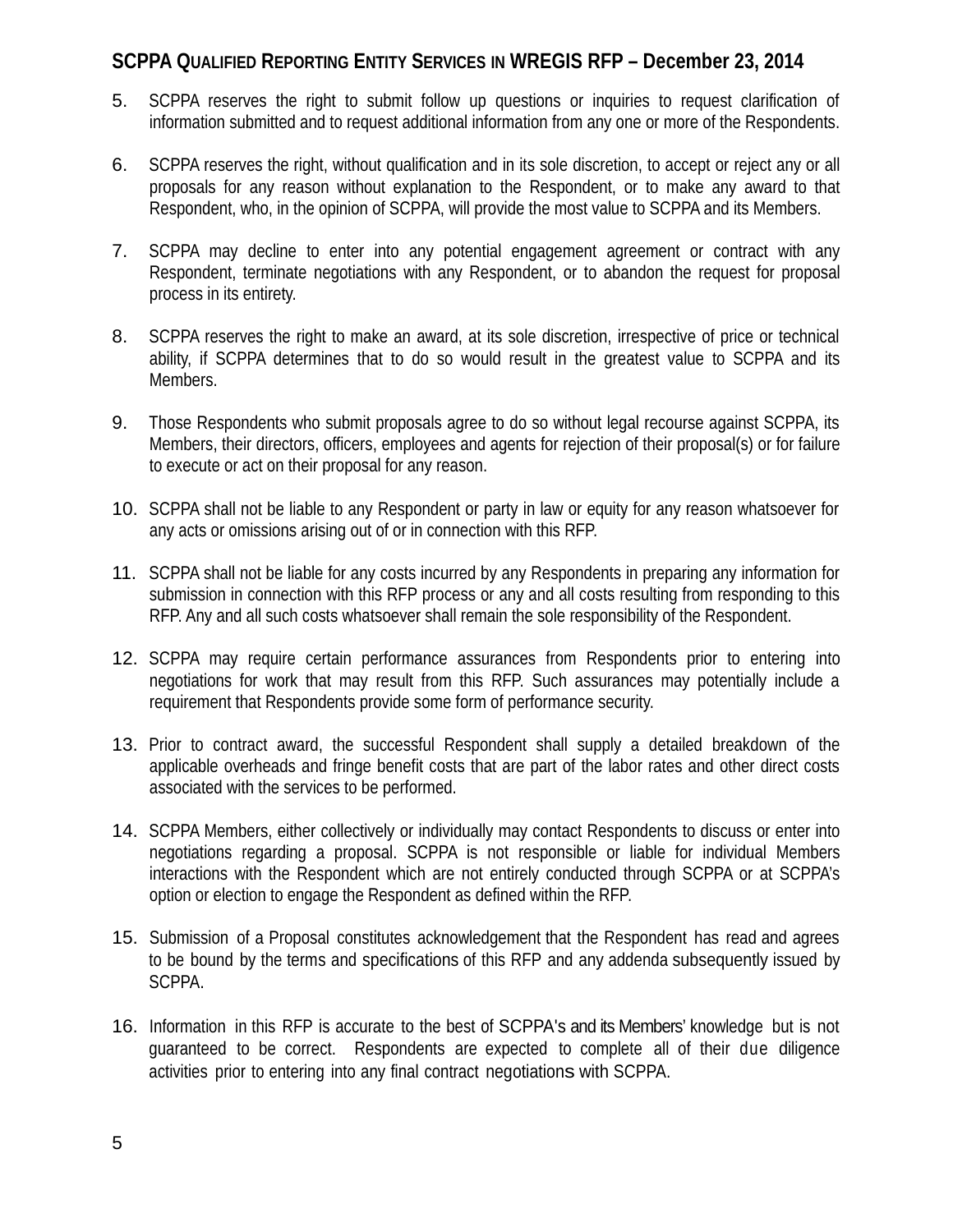- 5. SCPPA reserves the right to submit follow up questions or inquiries to request clarification of information submitted and to request additional information from any one or more of the Respondents.
- 6. SCPPA reserves the right, without qualification and in its sole discretion, to accept or reject any or all proposals for any reason without explanation to the Respondent, or to make any award to that Respondent, who, in the opinion of SCPPA, will provide the most value to SCPPA and its Members.
- 7. SCPPA may decline to enter into any potential engagement agreement or contract with any Respondent, terminate negotiations with any Respondent, or to abandon the request for proposal process in its entirety.
- 8. SCPPA reserves the right to make an award, at its sole discretion, irrespective of price or technical ability, if SCPPA determines that to do so would result in the greatest value to SCPPA and its Members.
- 9. Those Respondents who submit proposals agree to do so without legal recourse against SCPPA, its Members, their directors, officers, employees and agents for rejection of their proposal(s) or for failure to execute or act on their proposal for any reason.
- 10. SCPPA shall not be liable to any Respondent or party in law or equity for any reason whatsoever for any acts or omissions arising out of or in connection with this RFP.
- 11. SCPPA shall not be liable for any costs incurred by any Respondents in preparing any information for submission in connection with this RFP process or any and all costs resulting from responding to this RFP. Any and all such costs whatsoever shall remain the sole responsibility of the Respondent.
- 12. SCPPA may require certain performance assurances from Respondents prior to entering into negotiations for work that may result from this RFP. Such assurances may potentially include a requirement that Respondents provide some form of performance security.
- 13. Prior to contract award, the successful Respondent shall supply a detailed breakdown of the applicable overheads and fringe benefit costs that are part of the labor rates and other direct costs associated with the services to be performed.
- 14. SCPPA Members, either collectively or individually may contact Respondents to discuss or enter into negotiations regarding a proposal. SCPPA is not responsible or liable for individual Members interactions with the Respondent which are not entirely conducted through SCPPA or at SCPPA's option or election to engage the Respondent as defined within the RFP.
- 15. Submission of a Proposal constitutes acknowledgement that the Respondent has read and agrees to be bound by the terms and specifications of this RFP and any addenda subsequently issued by SCPPA.
- 16. Information in this RFP is accurate to the best of SCPPA's and its Members' knowledge but is not guaranteed to be correct. Respondents are expected to complete all of their due diligence activities prior to entering into any final contract negotiations with SCPPA.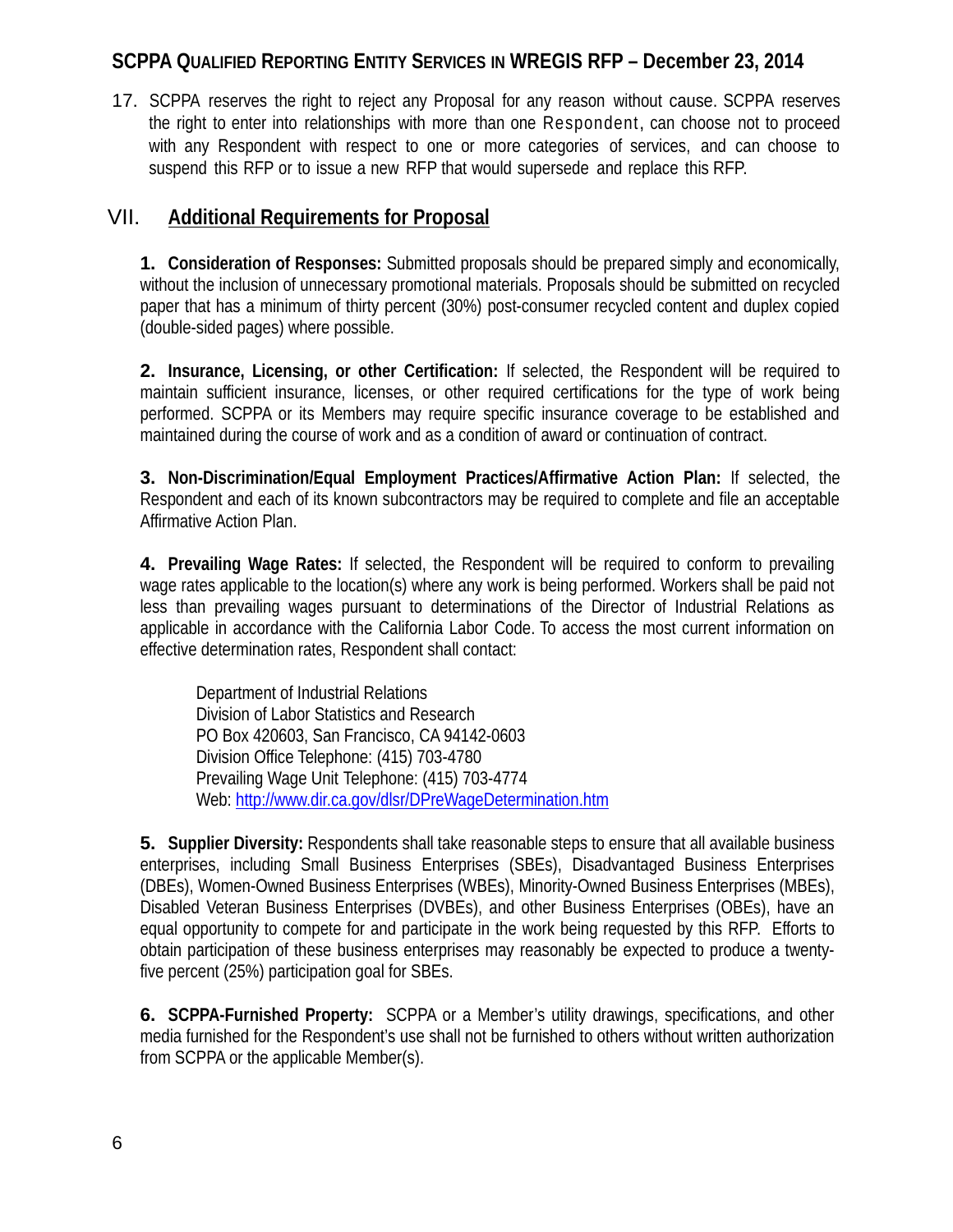17. SCPPA reserves the right to reject any Proposal for any reason without cause. SCPPA reserves the right to enter into relationships with more than one Respondent, can choose not to proceed with any Respondent with respect to one or more categories of services, and can choose to suspend this RFP or to issue a new RFP that would supersede and replace this RFP.

### VII. **Additional Requirements for Proposal**

**1. Consideration of Responses:** Submitted proposals should be prepared simply and economically, without the inclusion of unnecessary promotional materials. Proposals should be submitted on recycled paper that has a minimum of thirty percent (30%) post-consumer recycled content and duplex copied (double-sided pages) where possible.

**2. Insurance, Licensing, or other Certification:** If selected, the Respondent will be required to maintain sufficient insurance, licenses, or other required certifications for the type of work being performed. SCPPA or its Members may require specific insurance coverage to be established and maintained during the course of work and as a condition of award or continuation of contract.

**3. Non-Discrimination/Equal Employment Practices/Affirmative Action Plan:** If selected, the Respondent and each of its known subcontractors may be required to complete and file an acceptable Affirmative Action Plan.

**4. Prevailing Wage Rates:** If selected, the Respondent will be required to conform to prevailing wage rates applicable to the location(s) where any work is being performed. Workers shall be paid not less than prevailing wages pursuant to determinations of the Director of Industrial Relations as applicable in accordance with the California Labor Code. To access the most current information on effective determination rates, Respondent shall contact:

Department of Industrial Relations Division of Labor Statistics and Research PO Box 420603, San Francisco, CA 94142-0603 Division Office Telephone: (415) 703-4780 Prevailing Wage Unit Telephone: (415) 703-4774 Web: http://www.dir.ca.gov/dlsr/DPreWageDetermination.htm

**5. Supplier Diversity:** Respondents shall take reasonable steps to ensure that all available business enterprises, including Small Business Enterprises (SBEs), Disadvantaged Business Enterprises (DBEs), Women-Owned Business Enterprises (WBEs), Minority-Owned Business Enterprises (MBEs), Disabled Veteran Business Enterprises (DVBEs), and other Business Enterprises (OBEs), have an equal opportunity to compete for and participate in the work being requested by this RFP. Efforts to obtain participation of these business enterprises may reasonably be expected to produce a twentyfive percent (25%) participation goal for SBEs.

**6. SCPPA-Furnished Property:** SCPPA or a Member's utility drawings, specifications, and other media furnished for the Respondent's use shall not be furnished to others without written authorization from SCPPA or the applicable Member(s).